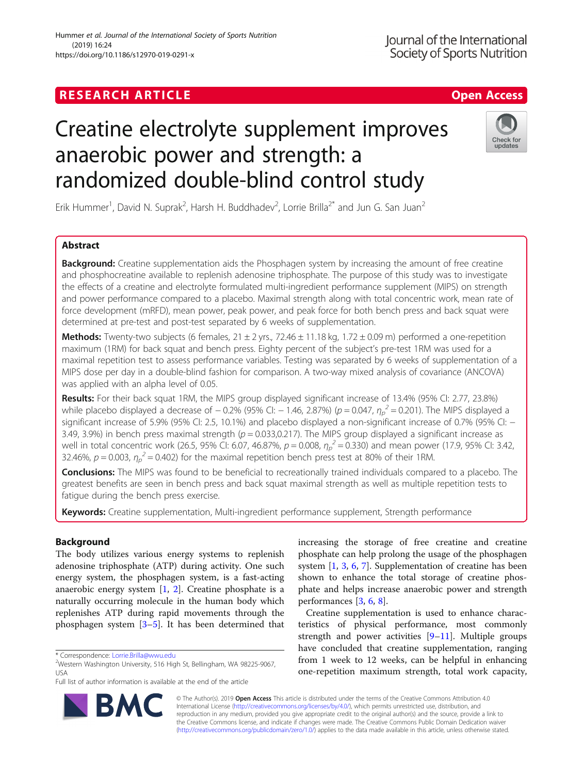# Creatine electrolyte supplement improves anaerobic power and strength: a randomized double-blind control study



Erik Hummer<sup>1</sup>, David N. Suprak<sup>2</sup>, Harsh H. Buddhadev<sup>2</sup>, Lorrie Brilla<sup>2\*</sup> and Jun G. San Juan<sup>2</sup>

# Abstract

**Background:** Creatine supplementation aids the Phosphagen system by increasing the amount of free creatine and phosphocreatine available to replenish adenosine triphosphate. The purpose of this study was to investigate the effects of a creatine and electrolyte formulated multi-ingredient performance supplement (MIPS) on strength and power performance compared to a placebo. Maximal strength along with total concentric work, mean rate of force development (mRFD), mean power, peak power, and peak force for both bench press and back squat were determined at pre-test and post-test separated by 6 weeks of supplementation.

Methods: Twenty-two subjects (6 females,  $21 \pm 2$  yrs.,  $72.46 \pm 11.18$  kg,  $1.72 \pm 0.09$  m) performed a one-repetition maximum (1RM) for back squat and bench press. Eighty percent of the subject's pre-test 1RM was used for a maximal repetition test to assess performance variables. Testing was separated by 6 weeks of supplementation of a MIPS dose per day in a double-blind fashion for comparison. A two-way mixed analysis of covariance (ANCOVA) was applied with an alpha level of 0.05.

Results: For their back squat 1RM, the MIPS group displayed significant increase of 13.4% (95% CI: 2.77, 23.8%) while placebo displayed a decrease of  $-0.2\%$  (95% CI:  $-1.46$ , 2.87%) (p = 0.047,  $\eta_p^2$  = 0.201). The MIPS displayed a significant increase of 5.9% (95% CI: 2.5, 10.1%) and placebo displayed a non-significant increase of 0.7% (95% CI: − 3.49, 3.9%) in bench press maximal strength ( $p = 0.033,0.217$ ). The MIPS group displayed a significant increase as well in total concentric work (26.5, 95% CI: 6.07, 46.87%,  $p = 0.008$ ,  $\eta_p^2 = 0.330$ ) and mean power (17.9, 95% CI: 3.42, 32.46%,  $p = 0.003$ ,  $\eta_p^2 = 0.402$ ) for the maximal repetition bench press test at 80% of their 1RM.

Conclusions: The MIPS was found to be beneficial to recreationally trained individuals compared to a placebo. The greatest benefits are seen in bench press and back squat maximal strength as well as multiple repetition tests to fatigue during the bench press exercise.

Keywords: Creatine supplementation, Multi-ingredient performance supplement, Strength performance

# Background

The body utilizes various energy systems to replenish adenosine triphosphate (ATP) during activity. One such energy system, the phosphagen system, is a fast-acting anaerobic energy system [[1,](#page-7-0) [2\]](#page-7-0). Creatine phosphate is a naturally occurring molecule in the human body which replenishes ATP during rapid movements through the phosphagen system [\[3](#page-7-0)–[5](#page-7-0)]. It has been determined that

BA



Creatine supplementation is used to enhance characteristics of physical performance, most commonly strength and power activities [\[9](#page-7-0)–[11\]](#page-7-0). Multiple groups have concluded that creatine supplementation, ranging from 1 week to 12 weeks, can be helpful in enhancing one-repetition maximum strength, total work capacity,



<sup>\*</sup> Correspondence: [Lorrie.Brilla@wwu.edu](mailto:Lorrie.Brilla@wwu.edu) <sup>2</sup>

Western Washington University, 516 High St, Bellingham, WA 98225-9067, USA

Full list of author information is available at the end of the article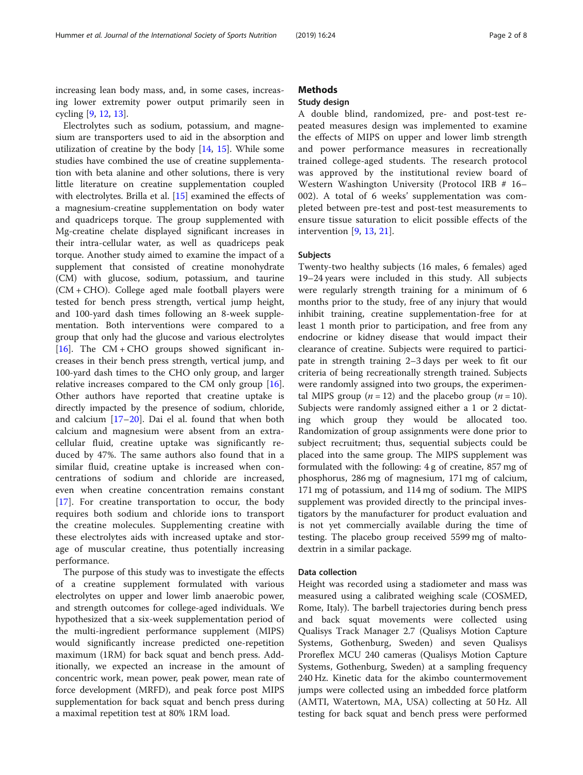increasing lean body mass, and, in some cases, increasing lower extremity power output primarily seen in cycling [\[9](#page-7-0), [12](#page-7-0), [13\]](#page-7-0).

Electrolytes such as sodium, potassium, and magnesium are transporters used to aid in the absorption and utilization of creatine by the body [\[14,](#page-7-0) [15\]](#page-7-0). While some studies have combined the use of creatine supplementation with beta alanine and other solutions, there is very little literature on creatine supplementation coupled with electrolytes. Brilla et al. [\[15](#page-7-0)] examined the effects of a magnesium-creatine supplementation on body water and quadriceps torque. The group supplemented with Mg-creatine chelate displayed significant increases in their intra-cellular water, as well as quadriceps peak torque. Another study aimed to examine the impact of a supplement that consisted of creatine monohydrate (CM) with glucose, sodium, potassium, and taurine (CM + CHO). College aged male football players were tested for bench press strength, vertical jump height, and 100-yard dash times following an 8-week supplementation. Both interventions were compared to a group that only had the glucose and various electrolytes [[16\]](#page-7-0). The CM + CHO groups showed significant increases in their bench press strength, vertical jump, and 100-yard dash times to the CHO only group, and larger relative increases compared to the CM only group [\[16](#page-7-0)]. Other authors have reported that creatine uptake is directly impacted by the presence of sodium, chloride, and calcium [\[17](#page-7-0)–[20](#page-7-0)]. Dai el al. found that when both calcium and magnesium were absent from an extracellular fluid, creatine uptake was significantly reduced by 47%. The same authors also found that in a similar fluid, creatine uptake is increased when concentrations of sodium and chloride are increased, even when creatine concentration remains constant [[17\]](#page-7-0). For creatine transportation to occur, the body requires both sodium and chloride ions to transport the creatine molecules. Supplementing creatine with these electrolytes aids with increased uptake and storage of muscular creatine, thus potentially increasing performance.

The purpose of this study was to investigate the effects of a creatine supplement formulated with various electrolytes on upper and lower limb anaerobic power, and strength outcomes for college-aged individuals. We hypothesized that a six-week supplementation period of the multi-ingredient performance supplement (MIPS) would significantly increase predicted one-repetition maximum (1RM) for back squat and bench press. Additionally, we expected an increase in the amount of concentric work, mean power, peak power, mean rate of force development (MRFD), and peak force post MIPS supplementation for back squat and bench press during a maximal repetition test at 80% 1RM load.

# Methods

# Study design

A double blind, randomized, pre- and post-test repeated measures design was implemented to examine the effects of MIPS on upper and lower limb strength and power performance measures in recreationally trained college-aged students. The research protocol was approved by the institutional review board of Western Washington University (Protocol IRB # 16– 002). A total of 6 weeks' supplementation was completed between pre-test and post-test measurements to ensure tissue saturation to elicit possible effects of the intervention [\[9](#page-7-0), [13](#page-7-0), [21](#page-7-0)].

# Subjects

Twenty-two healthy subjects (16 males, 6 females) aged 19–24 years were included in this study. All subjects were regularly strength training for a minimum of 6 months prior to the study, free of any injury that would inhibit training, creatine supplementation-free for at least 1 month prior to participation, and free from any endocrine or kidney disease that would impact their clearance of creatine. Subjects were required to participate in strength training 2–3 days per week to fit our criteria of being recreationally strength trained. Subjects were randomly assigned into two groups, the experimental MIPS group  $(n = 12)$  and the placebo group  $(n = 10)$ . Subjects were randomly assigned either a 1 or 2 dictating which group they would be allocated too. Randomization of group assignments were done prior to subject recruitment; thus, sequential subjects could be placed into the same group. The MIPS supplement was formulated with the following: 4 g of creatine, 857 mg of phosphorus, 286 mg of magnesium, 171 mg of calcium, 171 mg of potassium, and 114 mg of sodium. The MIPS supplement was provided directly to the principal investigators by the manufacturer for product evaluation and is not yet commercially available during the time of testing. The placebo group received 5599 mg of maltodextrin in a similar package.

# Data collection

Height was recorded using a stadiometer and mass was measured using a calibrated weighing scale (COSMED, Rome, Italy). The barbell trajectories during bench press and back squat movements were collected using Qualisys Track Manager 2.7 (Qualisys Motion Capture Systems, Gothenburg, Sweden) and seven Qualisys Proreflex MCU 240 cameras (Qualisys Motion Capture Systems, Gothenburg, Sweden) at a sampling frequency 240 Hz. Kinetic data for the akimbo countermovement jumps were collected using an imbedded force platform (AMTI, Watertown, MA, USA) collecting at 50 Hz. All testing for back squat and bench press were performed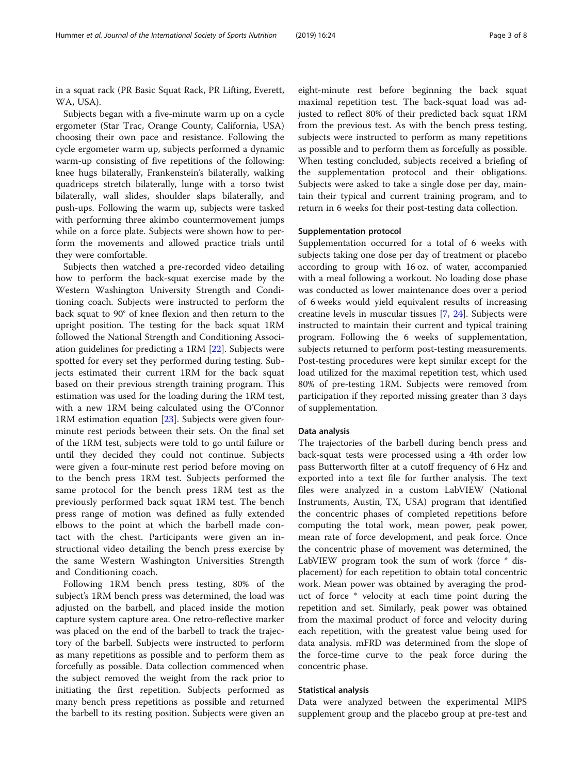in a squat rack (PR Basic Squat Rack, PR Lifting, Everett, WA, USA).

Subjects began with a five-minute warm up on a cycle ergometer (Star Trac, Orange County, California, USA) choosing their own pace and resistance. Following the cycle ergometer warm up, subjects performed a dynamic warm-up consisting of five repetitions of the following: knee hugs bilaterally, Frankenstein's bilaterally, walking quadriceps stretch bilaterally, lunge with a torso twist bilaterally, wall slides, shoulder slaps bilaterally, and push-ups. Following the warm up, subjects were tasked with performing three akimbo countermovement jumps while on a force plate. Subjects were shown how to perform the movements and allowed practice trials until they were comfortable.

Subjects then watched a pre-recorded video detailing how to perform the back-squat exercise made by the Western Washington University Strength and Conditioning coach. Subjects were instructed to perform the back squat to 90° of knee flexion and then return to the upright position. The testing for the back squat 1RM followed the National Strength and Conditioning Association guidelines for predicting a 1RM [\[22](#page-7-0)]. Subjects were spotted for every set they performed during testing. Subjects estimated their current 1RM for the back squat based on their previous strength training program. This estimation was used for the loading during the 1RM test, with a new 1RM being calculated using the O'Connor 1RM estimation equation [[23\]](#page-7-0). Subjects were given fourminute rest periods between their sets. On the final set of the 1RM test, subjects were told to go until failure or until they decided they could not continue. Subjects were given a four-minute rest period before moving on to the bench press 1RM test. Subjects performed the same protocol for the bench press 1RM test as the previously performed back squat 1RM test. The bench press range of motion was defined as fully extended elbows to the point at which the barbell made contact with the chest. Participants were given an instructional video detailing the bench press exercise by the same Western Washington Universities Strength and Conditioning coach.

Following 1RM bench press testing, 80% of the subject's 1RM bench press was determined, the load was adjusted on the barbell, and placed inside the motion capture system capture area. One retro-reflective marker was placed on the end of the barbell to track the trajectory of the barbell. Subjects were instructed to perform as many repetitions as possible and to perform them as forcefully as possible. Data collection commenced when the subject removed the weight from the rack prior to initiating the first repetition. Subjects performed as many bench press repetitions as possible and returned the barbell to its resting position. Subjects were given an

eight-minute rest before beginning the back squat maximal repetition test. The back-squat load was adjusted to reflect 80% of their predicted back squat 1RM from the previous test. As with the bench press testing, subjects were instructed to perform as many repetitions as possible and to perform them as forcefully as possible. When testing concluded, subjects received a briefing of the supplementation protocol and their obligations. Subjects were asked to take a single dose per day, maintain their typical and current training program, and to return in 6 weeks for their post-testing data collection.

#### Supplementation protocol

Supplementation occurred for a total of 6 weeks with subjects taking one dose per day of treatment or placebo according to group with 16 oz. of water, accompanied with a meal following a workout. No loading dose phase was conducted as lower maintenance does over a period of 6 weeks would yield equivalent results of increasing creatine levels in muscular tissues [[7,](#page-7-0) [24](#page-7-0)]. Subjects were instructed to maintain their current and typical training program. Following the 6 weeks of supplementation, subjects returned to perform post-testing measurements. Post-testing procedures were kept similar except for the load utilized for the maximal repetition test, which used 80% of pre-testing 1RM. Subjects were removed from participation if they reported missing greater than 3 days of supplementation.

# Data analysis

The trajectories of the barbell during bench press and back-squat tests were processed using a 4th order low pass Butterworth filter at a cutoff frequency of 6 Hz and exported into a text file for further analysis. The text files were analyzed in a custom LabVIEW (National Instruments, Austin, TX, USA) program that identified the concentric phases of completed repetitions before computing the total work, mean power, peak power, mean rate of force development, and peak force. Once the concentric phase of movement was determined, the LabVIEW program took the sum of work (force \* displacement) for each repetition to obtain total concentric work. Mean power was obtained by averaging the product of force \* velocity at each time point during the repetition and set. Similarly, peak power was obtained from the maximal product of force and velocity during each repetition, with the greatest value being used for data analysis. mFRD was determined from the slope of the force-time curve to the peak force during the concentric phase.

### Statistical analysis

Data were analyzed between the experimental MIPS supplement group and the placebo group at pre-test and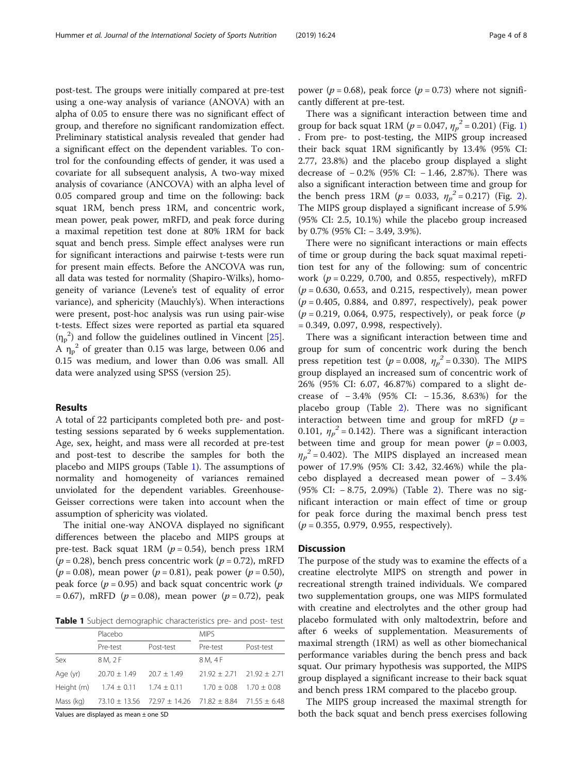post-test. The groups were initially compared at pre-test using a one-way analysis of variance (ANOVA) with an alpha of 0.05 to ensure there was no significant effect of group, and therefore no significant randomization effect. Preliminary statistical analysis revealed that gender had a significant effect on the dependent variables. To control for the confounding effects of gender, it was used a covariate for all subsequent analysis, A two-way mixed analysis of covariance (ANCOVA) with an alpha level of 0.05 compared group and time on the following: back squat 1RM, bench press 1RM, and concentric work, mean power, peak power, mRFD, and peak force during a maximal repetition test done at 80% 1RM for back squat and bench press. Simple effect analyses were run for significant interactions and pairwise t-tests were run for present main effects. Before the ANCOVA was run, all data was tested for normality (Shapiro-Wilks), homogeneity of variance (Levene's test of equality of error variance), and sphericity (Mauchly's). When interactions were present, post-hoc analysis was run using pair-wise t-tests. Effect sizes were reported as partial eta squared  $(\eta_p^2)$  and follow the guidelines outlined in Vincent [\[25](#page-7-0)]. A  $\eta_p^2$  of greater than 0.15 was large, between 0.06 and 0.15 was medium, and lower than 0.06 was small. All data were analyzed using SPSS (version 25).

# Results

A total of 22 participants completed both pre- and posttesting sessions separated by 6 weeks supplementation. Age, sex, height, and mass were all recorded at pre-test and post-test to describe the samples for both the placebo and MIPS groups (Table 1). The assumptions of normality and homogeneity of variances remained unviolated for the dependent variables. Greenhouse-Geisser corrections were taken into account when the assumption of sphericity was violated.

The initial one-way ANOVA displayed no significant differences between the placebo and MIPS groups at pre-test. Back squat 1RM ( $p = 0.54$ ), bench press 1RM  $(p = 0.28)$ , bench press concentric work  $(p = 0.72)$ , mRFD ( $p = 0.08$ ), mean power ( $p = 0.81$ ), peak power ( $p = 0.50$ ), peak force ( $p = 0.95$ ) and back squat concentric work ( $p$ )  $= 0.67$ ), mRFD ( $p = 0.08$ ), mean power ( $p = 0.72$ ), peak

Table 1 Subject demographic characteristics pre- and post- test

|            | Placebo         |                                                                       | <b>MIPS</b>    |                |
|------------|-----------------|-----------------------------------------------------------------------|----------------|----------------|
|            | Pre-test        | Post-test                                                             | Pre-test       | Post-test      |
| Sex        | 8 M. 2 F        |                                                                       | 8 M, 4 F       |                |
| Age (yr)   | $20.70 + 1.49$  | $20.7 + 1.49$                                                         | $21.92 + 2.71$ | $21.92 + 2.71$ |
| Height (m) | $1.74 \pm 0.11$ | $1.74 \pm 0.11$                                                       | $1.70 + 0.08$  | $1.70 + 0.08$  |
| Mass (kg)  |                 | $73.10 \pm 13.56$ $72.97 \pm 14.26$ $71.82 \pm 8.84$ $71.55 \pm 6.48$ |                |                |
|            |                 |                                                                       |                |                |

Values are displayed as mean ± one SD

power ( $p = 0.68$ ), peak force ( $p = 0.73$ ) where not significantly different at pre-test.

There was a significant interaction between time and group for back squat [1](#page-4-0)RM ( $p = 0.047$ ,  $\eta_p^2 = 0.201$ ) (Fig. 1) . From pre- to post-testing, the MIPS group increased their back squat 1RM significantly by 13.4% (95% CI: 2.77, 23.8%) and the placebo group displayed a slight decrease of − 0.2% (95% CI: − 1.46, 2.87%). There was also a significant interaction between time and group for the bench press 1RM ( $p = 0.033$ ,  $\eta_p^2 = 0.217$  $\eta_p^2 = 0.217$  $\eta_p^2 = 0.217$ ) (Fig. 2). The MIPS group displayed a significant increase of 5.9% (95% CI: 2.5, 10.1%) while the placebo group increased by 0.7% (95% CI: − 3.49, 3.9%).

There were no significant interactions or main effects of time or group during the back squat maximal repetition test for any of the following: sum of concentric work ( $p = 0.229$ , 0.700, and 0.855, respectively), mRFD  $(p = 0.630, 0.653,$  and 0.215, respectively), mean power  $(p = 0.405, 0.884,$  and 0.897, respectively), peak power  $(p = 0.219, 0.064, 0.975,$  respectively), or peak force  $(p)$  $= 0.349, 0.097, 0.998, respectively.$ 

There was a significant interaction between time and group for sum of concentric work during the bench press repetition test ( $p = 0.008$ ,  $\eta_p^2 = 0.330$ ). The MIPS group displayed an increased sum of concentric work of 26% (95% CI: 6.07, 46.87%) compared to a slight decrease of − 3.4% (95% CI: − 15.36, 8.63%) for the placebo group (Table [2](#page-5-0)). There was no significant interaction between time and group for mRFD  $(p =$ 0.101,  $\eta_p^2$  = 0.142). There was a significant interaction between time and group for mean power ( $p = 0.003$ ,  $\eta_p^2$  = 0.402). The MIPS displayed an increased mean power of 17.9% (95% CI: 3.42, 32.46%) while the placebo displayed a decreased mean power of − 3.4% (95% CI: − 8.75, 2.09%) (Table [2\)](#page-5-0). There was no significant interaction or main effect of time or group for peak force during the maximal bench press test  $(p = 0.355, 0.979, 0.955, respectively).$ 

# **Discussion**

The purpose of the study was to examine the effects of a creatine electrolyte MIPS on strength and power in recreational strength trained individuals. We compared two supplementation groups, one was MIPS formulated with creatine and electrolytes and the other group had placebo formulated with only maltodextrin, before and after 6 weeks of supplementation. Measurements of maximal strength (1RM) as well as other biomechanical performance variables during the bench press and back squat. Our primary hypothesis was supported, the MIPS group displayed a significant increase to their back squat and bench press 1RM compared to the placebo group.

The MIPS group increased the maximal strength for both the back squat and bench press exercises following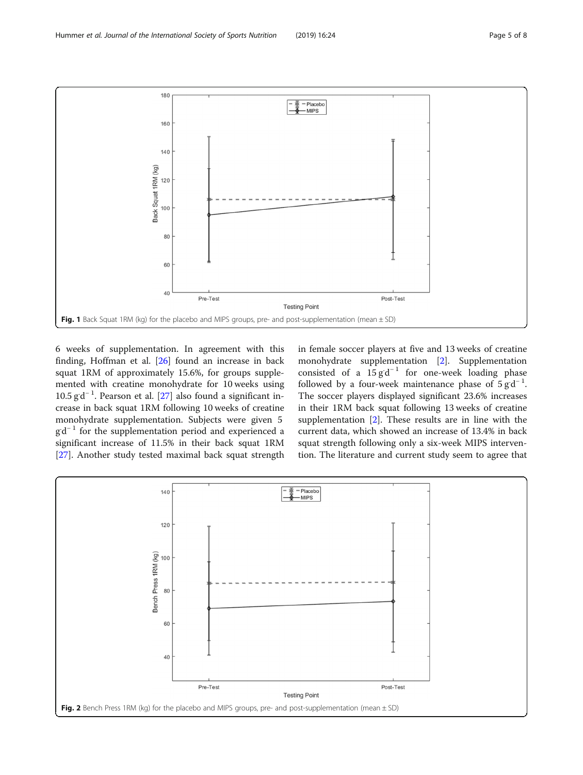<span id="page-4-0"></span>

6 weeks of supplementation. In agreement with this finding, Hoffman et al. [[26\]](#page-7-0) found an increase in back squat 1RM of approximately 15.6%, for groups supplemented with creatine monohydrate for 10 weeks using 10.5 g<sup>d-1</sup>. Pearson et al. [[27\]](#page-7-0) also found a significant increase in back squat 1RM following 10 weeks of creatine monohydrate supplementation. Subjects were given 5 gd<sup>-1</sup> for the supplementation period and experienced a significant increase of 11.5% in their back squat 1RM [[27\]](#page-7-0). Another study tested maximal back squat strength

in female soccer players at five and 13 weeks of creatine monohydrate supplementation [\[2](#page-7-0)]. Supplementation consisted of a  $15 \text{ g} \cdot d^{-1}$  for one-week loading phase followed by a four-week maintenance phase of  $5 \text{ g} \cdot d^{-1}$ . The soccer players displayed significant 23.6% increases in their 1RM back squat following 13 weeks of creatine supplementation [[2](#page-7-0)]. These results are in line with the current data, which showed an increase of 13.4% in back squat strength following only a six-week MIPS intervention. The literature and current study seem to agree that

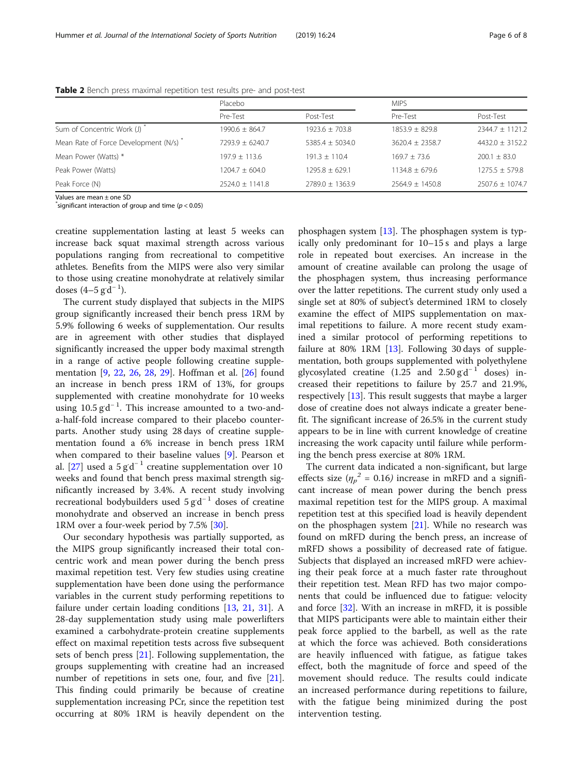|                                      | Placebo             |                     | <b>MIPS</b>        |                    |
|--------------------------------------|---------------------|---------------------|--------------------|--------------------|
|                                      | Pre-Test            | Post-Test           | Pre-Test           | Post-Test          |
| Sum of Concentric Work (J)           | $1990.6 + 864.7$    | $1923.6 + 703.8$    | $1853.9 + 829.8$   | $2344.7 + 1121.2$  |
| Mean Rate of Force Development (N/s) | $7293.9 + 6240.7$   | $5385.4 + 5034.0$   | $3620.4 + 2358.7$  | $4432.0 + 3152.2$  |
| Mean Power (Watts) *                 | $197.9 + 113.6$     | $191.3 + 110.4$     | $169.7 + 73.6$     | $200.1 + 83.0$     |
| Peak Power (Watts)                   | $1204.7 + 604.0$    | $1295.8 + 629.1$    | $1134.8 \pm 679.6$ | $1275.5 \pm 579.8$ |
| Peak Force (N)                       | $2524.0 \pm 1141.8$ | $2789.0 \pm 1363.9$ | $2564.9 + 1450.8$  | $2507.6 + 1074.7$  |

<span id="page-5-0"></span>Table 2 Bench press maximal repetition test results pre- and post-test

Values are mean ± one SD

 $\checkmark$ significant interaction of group and time ( $p < 0.05$ )

creatine supplementation lasting at least 5 weeks can increase back squat maximal strength across various populations ranging from recreational to competitive athletes. Benefits from the MIPS were also very similar to those using creatine monohydrate at relatively similar doses  $(4-5 \text{ g d}^{-1})$ .

The current study displayed that subjects in the MIPS group significantly increased their bench press 1RM by 5.9% following 6 weeks of supplementation. Our results are in agreement with other studies that displayed significantly increased the upper body maximal strength in a range of active people following creatine supplementation [\[9](#page-7-0), [22](#page-7-0), [26,](#page-7-0) [28,](#page-7-0) [29](#page-7-0)]. Hoffman et al. [[26\]](#page-7-0) found an increase in bench press 1RM of 13%, for groups supplemented with creatine monohydrate for 10 weeks using  $10.5 \text{ g d}^{-1}$ . This increase amounted to a two-anda-half-fold increase compared to their placebo counterparts. Another study using 28 days of creatine supplementation found a 6% increase in bench press 1RM when compared to their baseline values [\[9](#page-7-0)]. Pearson et al. [\[27](#page-7-0)] used a  $5$  gd<sup>-1</sup> creatine supplementation over 10 weeks and found that bench press maximal strength significantly increased by 3.4%. A recent study involving recreational bodybuilders used  $5 \text{ g d}^{-1}$  doses of creatine monohydrate and observed an increase in bench press 1RM over a four-week period by 7.5% [\[30\]](#page-7-0).

Our secondary hypothesis was partially supported, as the MIPS group significantly increased their total concentric work and mean power during the bench press maximal repetition test. Very few studies using creatine supplementation have been done using the performance variables in the current study performing repetitions to failure under certain loading conditions [[13,](#page-7-0) [21,](#page-7-0) [31](#page-7-0)]. A 28-day supplementation study using male powerlifters examined a carbohydrate-protein creatine supplements effect on maximal repetition tests across five subsequent sets of bench press [\[21\]](#page-7-0). Following supplementation, the groups supplementing with creatine had an increased number of repetitions in sets one, four, and five [\[21](#page-7-0)]. This finding could primarily be because of creatine supplementation increasing PCr, since the repetition test occurring at 80% 1RM is heavily dependent on the

phosphagen system  $[13]$ . The phosphagen system is typically only predominant for 10–15 s and plays a large role in repeated bout exercises. An increase in the amount of creatine available can prolong the usage of the phosphagen system, thus increasing performance over the latter repetitions. The current study only used a single set at 80% of subject's determined 1RM to closely examine the effect of MIPS supplementation on maximal repetitions to failure. A more recent study examined a similar protocol of performing repetitions to failure at 80% 1RM  $[13]$  $[13]$ . Following 30 days of supplementation, both groups supplemented with polyethylene glycosylated creatine  $(1.25 \text{ and } 2.50 \text{ g d}^{-1} \text{ doses})$  increased their repetitions to failure by 25.7 and 21.9%, respectively [\[13](#page-7-0)]. This result suggests that maybe a larger dose of creatine does not always indicate a greater benefit. The significant increase of 26.5% in the current study appears to be in line with current knowledge of creatine increasing the work capacity until failure while performing the bench press exercise at 80% 1RM.

The current data indicated a non-significant, but large effects size ( $\eta_p^2$  = 0.16) increase in mRFD and a significant increase of mean power during the bench press maximal repetition test for the MIPS group. A maximal repetition test at this specified load is heavily dependent on the phosphagen system  $[21]$  $[21]$ . While no research was found on mRFD during the bench press, an increase of mRFD shows a possibility of decreased rate of fatigue. Subjects that displayed an increased mRFD were achieving their peak force at a much faster rate throughout their repetition test. Mean RFD has two major components that could be influenced due to fatigue: velocity and force [\[32](#page-7-0)]. With an increase in mRFD, it is possible that MIPS participants were able to maintain either their peak force applied to the barbell, as well as the rate at which the force was achieved. Both considerations are heavily influenced with fatigue, as fatigue takes effect, both the magnitude of force and speed of the movement should reduce. The results could indicate an increased performance during repetitions to failure, with the fatigue being minimized during the post intervention testing.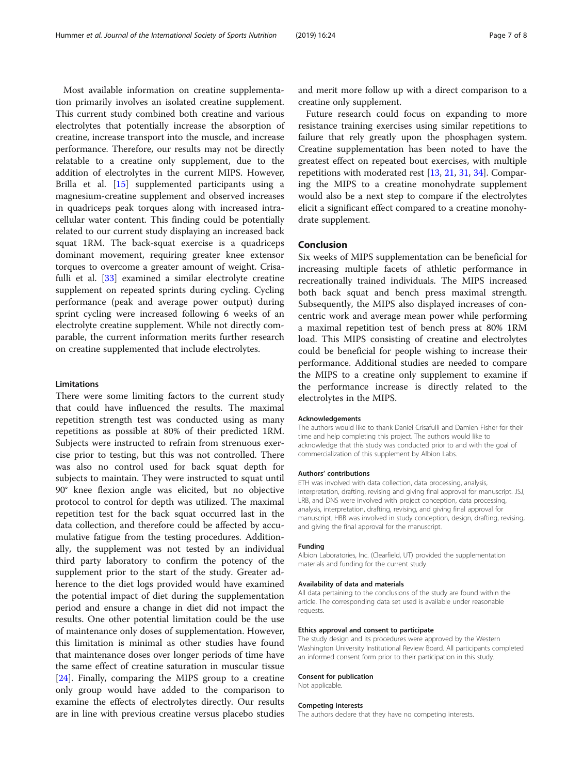Most available information on creatine supplementation primarily involves an isolated creatine supplement. This current study combined both creatine and various electrolytes that potentially increase the absorption of creatine, increase transport into the muscle, and increase performance. Therefore, our results may not be directly relatable to a creatine only supplement, due to the addition of electrolytes in the current MIPS. However, Brilla et al. [[15](#page-7-0)] supplemented participants using a magnesium-creatine supplement and observed increases in quadriceps peak torques along with increased intracellular water content. This finding could be potentially related to our current study displaying an increased back squat 1RM. The back-squat exercise is a quadriceps dominant movement, requiring greater knee extensor torques to overcome a greater amount of weight. Crisafulli et al. [[33\]](#page-7-0) examined a similar electrolyte creatine supplement on repeated sprints during cycling. Cycling performance (peak and average power output) during sprint cycling were increased following 6 weeks of an electrolyte creatine supplement. While not directly comparable, the current information merits further research on creatine supplemented that include electrolytes.

# Limitations

There were some limiting factors to the current study that could have influenced the results. The maximal repetition strength test was conducted using as many repetitions as possible at 80% of their predicted 1RM. Subjects were instructed to refrain from strenuous exercise prior to testing, but this was not controlled. There was also no control used for back squat depth for subjects to maintain. They were instructed to squat until 90° knee flexion angle was elicited, but no objective protocol to control for depth was utilized. The maximal repetition test for the back squat occurred last in the data collection, and therefore could be affected by accumulative fatigue from the testing procedures. Additionally, the supplement was not tested by an individual third party laboratory to confirm the potency of the supplement prior to the start of the study. Greater adherence to the diet logs provided would have examined the potential impact of diet during the supplementation period and ensure a change in diet did not impact the results. One other potential limitation could be the use of maintenance only doses of supplementation. However, this limitation is minimal as other studies have found that maintenance doses over longer periods of time have the same effect of creatine saturation in muscular tissue [[24\]](#page-7-0). Finally, comparing the MIPS group to a creatine only group would have added to the comparison to examine the effects of electrolytes directly. Our results are in line with previous creatine versus placebo studies

and merit more follow up with a direct comparison to a creatine only supplement.

Future research could focus on expanding to more resistance training exercises using similar repetitions to failure that rely greatly upon the phosphagen system. Creatine supplementation has been noted to have the greatest effect on repeated bout exercises, with multiple repetitions with moderated rest [\[13](#page-7-0), [21](#page-7-0), [31,](#page-7-0) [34\]](#page-7-0). Comparing the MIPS to a creatine monohydrate supplement would also be a next step to compare if the electrolytes elicit a significant effect compared to a creatine monohydrate supplement.

# Conclusion

Six weeks of MIPS supplementation can be beneficial for increasing multiple facets of athletic performance in recreationally trained individuals. The MIPS increased both back squat and bench press maximal strength. Subsequently, the MIPS also displayed increases of concentric work and average mean power while performing a maximal repetition test of bench press at 80% 1RM load. This MIPS consisting of creatine and electrolytes could be beneficial for people wishing to increase their performance. Additional studies are needed to compare the MIPS to a creatine only supplement to examine if the performance increase is directly related to the electrolytes in the MIPS.

#### Acknowledgements

The authors would like to thank Daniel Crisafulli and Damien Fisher for their time and help completing this project. The authors would like to acknowledge that this study was conducted prior to and with the goal of commercialization of this supplement by Albion Labs.

#### Authors' contributions

ETH was involved with data collection, data processing, analysis, interpretation, drafting, revising and giving final approval for manuscript. JSJ, LRB, and DNS were involved with project conception, data processing, analysis, interpretation, drafting, revising, and giving final approval for manuscript. HBB was involved in study conception, design, drafting, revising, and giving the final approval for the manuscript.

#### Funding

Albion Laboratories, Inc. (Clearfield, UT) provided the supplementation materials and funding for the current study.

#### Availability of data and materials

All data pertaining to the conclusions of the study are found within the article. The corresponding data set used is available under reasonable requests.

#### Ethics approval and consent to participate

The study design and its procedures were approved by the Western Washington University Institutional Review Board. All participants completed an informed consent form prior to their participation in this study.

### Consent for publication

Not applicable.

#### Competing interests

The authors declare that they have no competing interests.